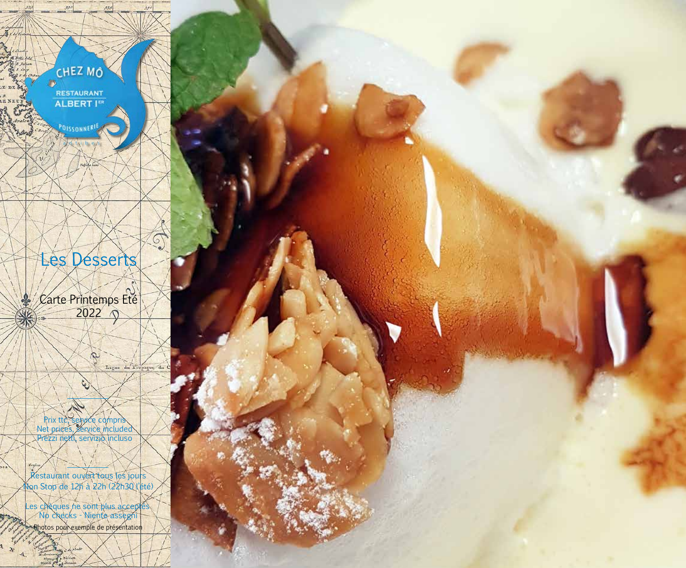

Restaurant ouvert tous les jours Non Stop de 12h à 22h (22h30 l'été)

Les chèques ne sont plus acceptés No checks - Niente assegni Photos pour exemple de présentation

 $\mathbf{v}$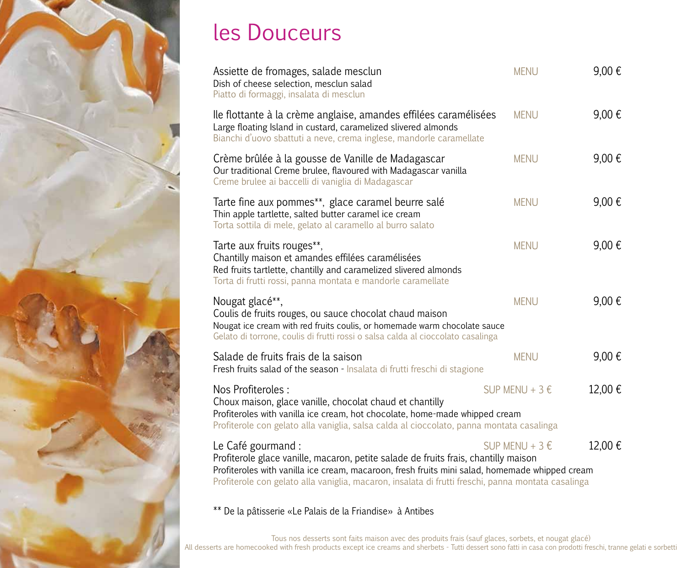

# les Douceurs

| Assiette de fromages, salade mesclun<br>Dish of cheese selection, mesclun salad<br>Piatto di formaggi, insalata di mesclun                                                                                                                                                                                        | <b>MENU</b>                | 9,00€  |
|-------------------------------------------------------------------------------------------------------------------------------------------------------------------------------------------------------------------------------------------------------------------------------------------------------------------|----------------------------|--------|
| lle flottante à la crème anglaise, amandes effilées caramélisées<br>Large floating Island in custard, caramelized slivered almonds<br>Bianchi d'uovo sbattuti a neve, crema inglese, mandorle caramellate                                                                                                         | <b>MENU</b>                | 9,00€  |
| Crème brûlée à la gousse de Vanille de Madagascar<br>Our traditional Creme brulee, flavoured with Madagascar vanilla<br>Creme brulee ai baccelli di vaniglia di Madagascar                                                                                                                                        | <b>MENU</b>                | 9,00€  |
| Tarte fine aux pommes**, glace caramel beurre salé<br>Thin apple tartlette, salted butter caramel ice cream<br>Torta sottila di mele, gelato al caramello al burro salato                                                                                                                                         | <b>MENU</b>                | 9,00€  |
| Tarte aux fruits rouges**,<br>Chantilly maison et amandes effilées caramélisées<br>Red fruits tartlette, chantilly and caramelized slivered almonds<br>Torta di frutti rossi, panna montata e mandorle caramellate                                                                                                | <b>MENU</b>                | 9,00€  |
| Nougat glacé**,<br>Coulis de fruits rouges, ou sauce chocolat chaud maison<br>Nougat ice cream with red fruits coulis, or homemade warm chocolate sauce<br>Gelato di torrone, coulis di frutti rossi o salsa calda al cioccolato casalinga                                                                        | <b>MENU</b>                | 9,00€  |
| Salade de fruits frais de la saison<br>Fresh fruits salad of the season - Insalata di frutti freschi di stagione                                                                                                                                                                                                  | <b>MENU</b>                | 9,00€  |
| Nos Profiteroles :<br>Choux maison, glace vanille, chocolat chaud et chantilly<br>Profiteroles with vanilla ice cream, hot chocolate, home-made whipped cream<br>Profiterole con gelato alla vaniglia, salsa calda al cioccolato, panna montata casalinga                                                         | SUP MENU + 3 $\varepsilon$ | 12,00€ |
| Le Café gourmand :<br>Profiterole glace vanille, macaron, petite salade de fruits frais, chantilly maison<br>Profiteroles with vanilla ice cream, macaroon, fresh fruits mini salad, homemade whipped cream<br>Profiterole con gelato alla vaniglia, macaron, insalata di frutti freschi, panna montata casalinga | SUP MENU + 3 €             | 12,00€ |

\*\* De la pâtisserie «Le Palais de la Friandise» à Antibes

Tous nos desserts sont faits maison avec des produits frais (sauf glaces, sorbets, et nougat glacé) All desserts are homecooked with fresh products except ice creams and sherbets - Tutti dessert sono fatti in casa con prodotti freschi, tranne gelati e sorbetti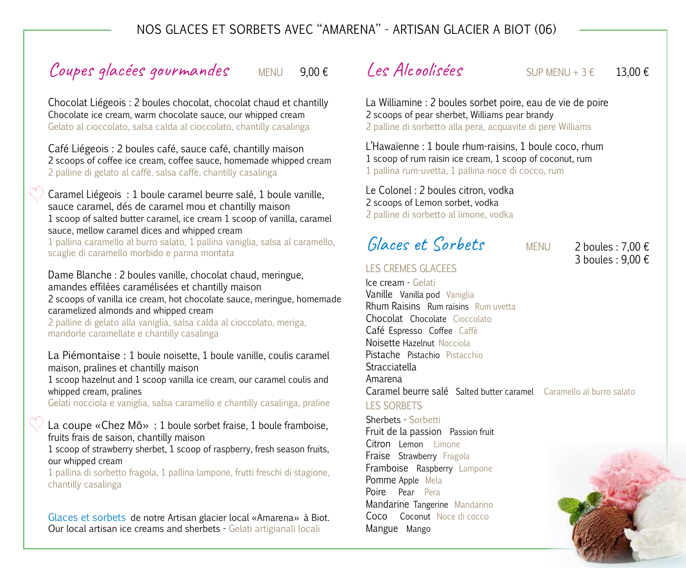#### nos Glaces et sorbets avec ''AMARENA'' - ARTISAN glacier A BIOT (06)

# Coupes glacées gourmandes MENU  $9,00 \in$

Chocolat Liégeois : 2 boules chocolat, chocolat chaud et chantilly Chocolate ice cream, warm chocolate sauce, our whipped cream Gelato al cioccolato, salsa calda al cioccolato, chantilly casalinga

Café Liégeois : 2 boules café, sauce café, chantilly maison 2 scoops of coffee ice cream, coffee sauce, homemade whipped cream 2 palline di gelato al caffè, salsa caffè, chantilly casalinga

Caramel Liégeois : 1 boule caramel beurre salé, 1 boule vanille, sauce caramel, dés de caramel mou et chantilly maison 1 scoop of salted butter caramel, ice cream 1 scoop of vanilla, caramel sauce, mellow caramel dices and whipped cream

1 pallina caramello al burro salato, 1 pallina vaniglia, salsa al caramello, scaglie di caramello morbido e panna montata

Dame Blanche : 2 boules vanille, chocolat chaud, meringue, amandes effilées caramélisées et chantilly maison 2 scoops of vanilla ice cream, hot chocolate sauce, meringue, homemade caramelized almonds and whipped cream

2 palline di gelato alla vaniglia, salsa calda al cioccolato, meriga, mandorle caramellate e chantilly casalinga

La Piémontaise : 1 boule noisette, 1 boule vanille, coulis caramel maison, pralines et chantilly maison

1 scoop hazelnut and 1 scoop vanilla ice cream, our caramel coulis and whipped cream, pralines

Gelati nocciola e vaniglia, salsa caramello e chantilly casalinga, praline

#### La coupe «Chez Mô» : 1 boule sorbet fraise, 1 boule framboise, fruits frais de saison, chantilly maison

1 scoop of strawberry sherbet, 1 scoop of raspberry, fresh season fruits, our whipped cream

1 pallina di sorbetto fragola, 1 pallina lampone, frutti freschi di stagione, chantilly casalinga

Glaces et sorbets de notre Artisan glacier local «Amarena» à Biot. Our local artisan ice creams and sherbets - Gelati artigianali locali

### $Les Alcoolisées$  SUP MENU + 3  $\epsilon$  13.00  $\epsilon$

La Williamine : 2 boules sorbet poire, eau de vie de poire 2 scoops of pear sherbet, Williams pear brandy 2 palline di sorbetto alla pera, acquavite di pere Williams

L'Hawaïenne : 1 boule rhum-raisins, 1 boule coco, rhum 1 scoop of rum raisin ice cream, 1 scoop of coconut, rum 1 pallina rum-uvetta, 1 pallina noce di cocco, rum

Le Colonel : 2 boules citron, vodka 2 scoops of Lemon sorbet, vodka 2 palline di sorbetto al limone, vodka

# Glaces et Sorbets MENU

#### LES CREMES GLACEES

2 boules : 7,00 € 3 boules : 9,00 €

Ice cream - Gelati Vanille Vanilla pod Vaniglia Rhum Raisins Rum raisins Rum uvetta Chocolat Chocolate Cioccolato Café Espresso Coffee Caffè Noisette Hazelnut Nocciola Pistache Pistachio Pistacchio **Stracciatella** Amarena Caramel beurre salé Salted butter caramel Caramello al burro salato

#### LES SORBETS

Sherbets - Sorbetti Fruit de la passion Passion fruit Citron Lemon Limone Fraise Strawberry Fragola Framboise Raspberry Lampone Pomme Apple Mela Poire Pear Pera Mandarine Tangerine Mandarino Coco Coconut Noce di cocco Mangue Mango